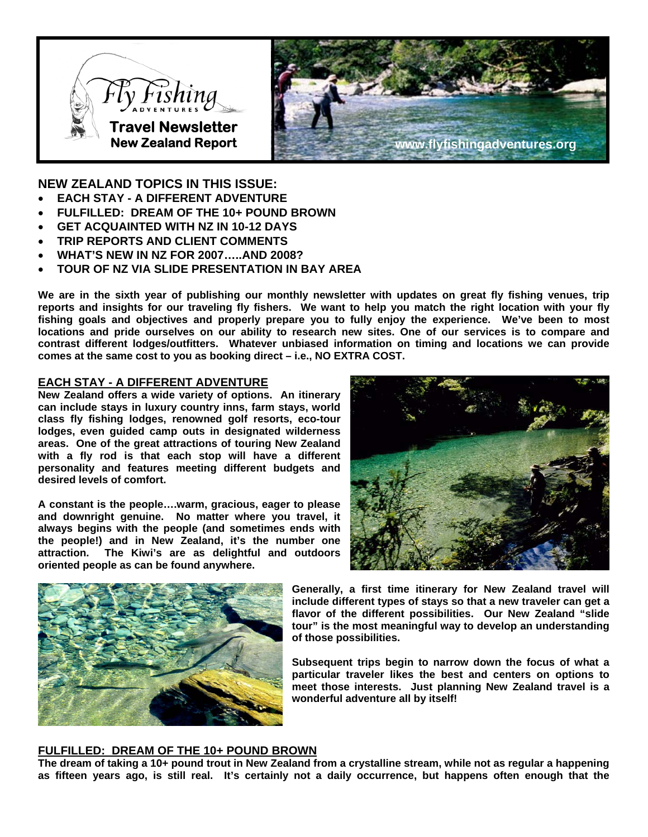



**NEW ZEALAND TOPICS IN THIS ISSUE:** 

- **EACH STAY A DIFFERENT ADVENTURE**
- **FULFILLED: DREAM OF THE 10+ POUND BROWN**
- **GET ACQUAINTED WITH NZ IN 10-12 DAYS**
- **TRIP REPORTS AND CLIENT COMMENTS**
- **WHAT'S NEW IN NZ FOR 2007…..AND 2008?**
- **TOUR OF NZ VIA SLIDE PRESENTATION IN BAY AREA**

**We are in the sixth year of publishing our monthly newsletter with updates on great fly fishing venues, trip reports and insights for our traveling fly fishers. We want to help you match the right location with your fly fishing goals and objectives and properly prepare you to fully enjoy the experience. We've been to most locations and pride ourselves on our ability to research new sites. One of our services is to compare and contrast different lodges/outfitters. Whatever unbiased information on timing and locations we can provide comes at the same cost to you as booking direct – i.e., NO EXTRA COST.** 

## **EACH STAY - A DIFFERENT ADVENTURE**

**New Zealand offers a wide variety of options. An itinerary can include stays in luxury country inns, farm stays, world class fly fishing lodges, renowned golf resorts, eco-tour lodges, even guided camp outs in designated wilderness areas. One of the great attractions of touring New Zealand with a fly rod is that each stop will have a different personality and features meeting different budgets and desired levels of comfort.** 

**A constant is the people….warm, gracious, eager to please and downright genuine. No matter where you travel, it always begins with the people (and sometimes ends with the people!) and in New Zealand, it's the number one attraction. The Kiwi's are as delightful and outdoors oriented people as can be found anywhere.** 





**Generally, a first time itinerary for New Zealand travel will include different types of stays so that a new traveler can get a flavor of the different possibilities. Our New Zealand "slide tour" is the most meaningful way to develop an understanding of those possibilities.** 

**Subsequent trips begin to narrow down the focus of what a particular traveler likes the best and centers on options to meet those interests. Just planning New Zealand travel is a wonderful adventure all by itself!** 

### **FULFILLED: DREAM OF THE 10+ POUND BROWN**

**The dream of taking a 10+ pound trout in New Zealand from a crystalline stream, while not as regular a happening as fifteen years ago, is still real. It's certainly not a daily occurrence, but happens often enough that the**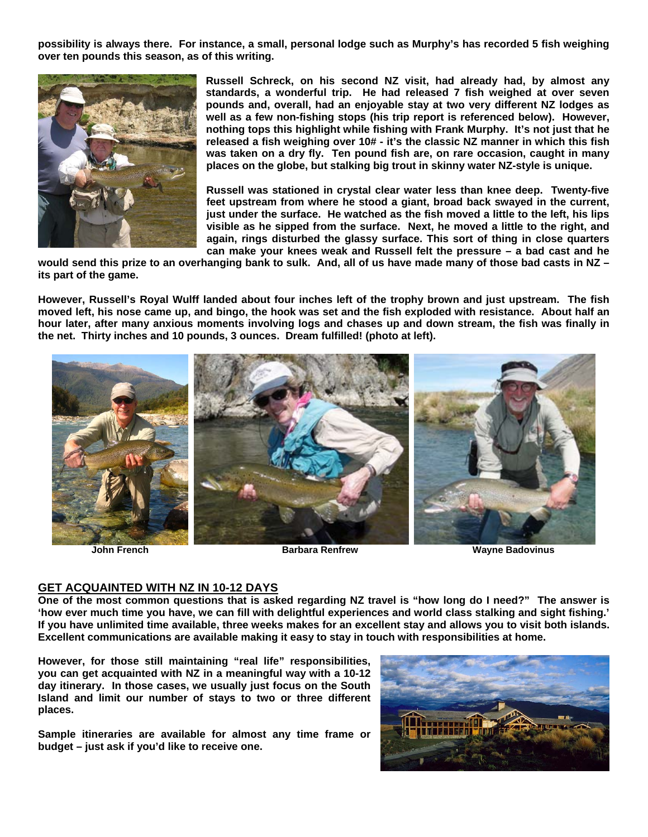**possibility is always there. For instance, a small, personal lodge such as Murphy's has recorded 5 fish weighing over ten pounds this season, as of this writing.** 



**Russell Schreck, on his second NZ visit, had already had, by almost any standards, a wonderful trip. He had released 7 fish weighed at over seven pounds and, overall, had an enjoyable stay at two very different NZ lodges as well as a few non-fishing stops (his trip report is referenced below). However, nothing tops this highlight while fishing with Frank Murphy. It's not just that he released a fish weighing over 10# - it's the classic NZ manner in which this fish was taken on a dry fly. Ten pound fish are, on rare occasion, caught in many places on the globe, but stalking big trout in skinny water NZ-style is unique.** 

**Russell was stationed in crystal clear water less than knee deep. Twenty-five feet upstream from where he stood a giant, broad back swayed in the current, just under the surface. He watched as the fish moved a little to the left, his lips visible as he sipped from the surface. Next, he moved a little to the right, and again, rings disturbed the glassy surface. This sort of thing in close quarters can make your knees weak and Russell felt the pressure – a bad cast and he** 

**would send this prize to an overhanging bank to sulk. And, all of us have made many of those bad casts in NZ – its part of the game.** 

**However, Russell's Royal Wulff landed about four inches left of the trophy brown and just upstream. The fish moved left, his nose came up, and bingo, the hook was set and the fish exploded with resistance. About half an hour later, after many anxious moments involving logs and chases up and down stream, the fish was finally in the net. Thirty inches and 10 pounds, 3 ounces. Dream fulfilled! (photo at left).** 



**John French Barbara Renfrew Wayne Badovinus**

### **GET ACQUAINTED WITH NZ IN 10-12 DAYS**

**One of the most common questions that is asked regarding NZ travel is "how long do I need?" The answer is 'how ever much time you have, we can fill with delightful experiences and world class stalking and sight fishing.' If you have unlimited time available, three weeks makes for an excellent stay and allows you to visit both islands. Excellent communications are available making it easy to stay in touch with responsibilities at home.** 

**However, for those still maintaining "real life" responsibilities, you can get acquainted with NZ in a meaningful way with a 10-12 day itinerary. In those cases, we usually just focus on the South Island and limit our number of stays to two or three different places.** 

**Sample itineraries are available for almost any time frame or budget – just ask if you'd like to receive one.** 

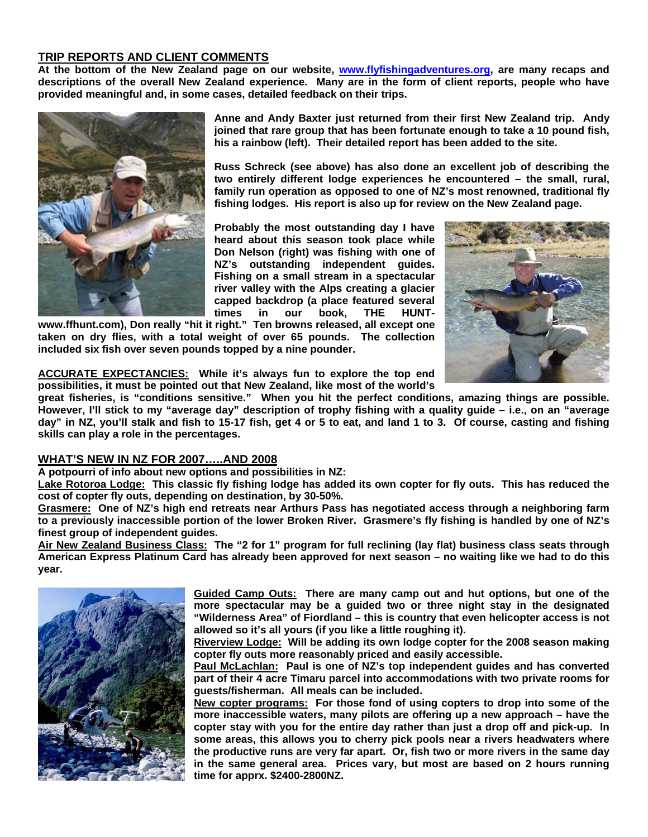# **TRIP REPORTS AND CLIENT COMMENTS**

**At the bottom of the New Zealand page on our website, [www.flyfishingadventures.org](http://www.flyfishingadventures.org/), are many recaps and descriptions of the overall New Zealand experience. Many are in the form of client reports, people who have provided meaningful and, in some cases, detailed feedback on their trips.** 



**Anne and Andy Baxter just returned from their first New Zealand trip. Andy joined that rare group that has been fortunate enough to take a 10 pound fish, his a rainbow (left). Their detailed report has been added to the site.** 

**Russ Schreck (see above) has also done an excellent job of describing the two entirely different lodge experiences he encountered – the small, rural, family run operation as opposed to one of NZ's most renowned, traditional fly fishing lodges. His report is also up for review on the New Zealand page.** 

**Probably the most outstanding day I have heard about this season took place while Don Nelson (right) was fishing with one of NZ's outstanding independent guides. Fishing on a small stream in a spectacular river valley with the Alps creating a glacier capped backdrop (a place featured several times in our book, THE HUNT-**

**www.ffhunt.com), Don really "hit it right." Ten browns released, all except one taken on dry flies, with a total weight of over 65 pounds. The collection included six fish over seven pounds topped by a nine pounder.** 



**ACCURATE EXPECTANCIES: While it's always fun to explore the top end possibilities, it must be pointed out that New Zealand, like most of the world's** 

**great fisheries, is "conditions sensitive." When you hit the perfect conditions, amazing things are possible. However, I'll stick to my "average day" description of trophy fishing with a quality guide – i.e., on an "average day" in NZ, you'll stalk and fish to 15-17 fish, get 4 or 5 to eat, and land 1 to 3. Of course, casting and fishing skills can play a role in the percentages.** 

## **WHAT'S NEW IN NZ FOR 2007…..AND 2008**

**A potpourri of info about new options and possibilities in NZ:** 

**Lake Rotoroa Lodge: This classic fly fishing lodge has added its own copter for fly outs. This has reduced the cost of copter fly outs, depending on destination, by 30-50%.** 

**Grasmere: One of NZ's high end retreats near Arthurs Pass has negotiated access through a neighboring farm to a previously inaccessible portion of the lower Broken River. Grasmere's fly fishing is handled by one of NZ's finest group of independent guides.** 

**Air New Zealand Business Class: The "2 for 1" program for full reclining (lay flat) business class seats through American Express Platinum Card has already been approved for next season – no waiting like we had to do this year.** 



**Guided Camp Outs: There are many camp out and hut options, but one of the more spectacular may be a guided two or three night stay in the designated "Wilderness Area" of Fiordland – this is country that even helicopter access is not allowed so it's all yours (if you like a little roughing it).** 

**Riverview Lodge: Will be adding its own lodge copter for the 2008 season making copter fly outs more reasonably priced and easily accessible.** 

**Paul McLachlan: Paul is one of NZ's top independent guides and has converted part of their 4 acre Timaru parcel into accommodations with two private rooms for guests/fisherman. All meals can be included.** 

**New copter programs: For those fond of using copters to drop into some of the more inaccessible waters, many pilots are offering up a new approach – have the copter stay with you for the entire day rather than just a drop off and pick-up. In some areas, this allows you to cherry pick pools near a rivers headwaters where the productive runs are very far apart. Or, fish two or more rivers in the same day in the same general area. Prices vary, but most are based on 2 hours running time for apprx. \$2400-2800NZ.**